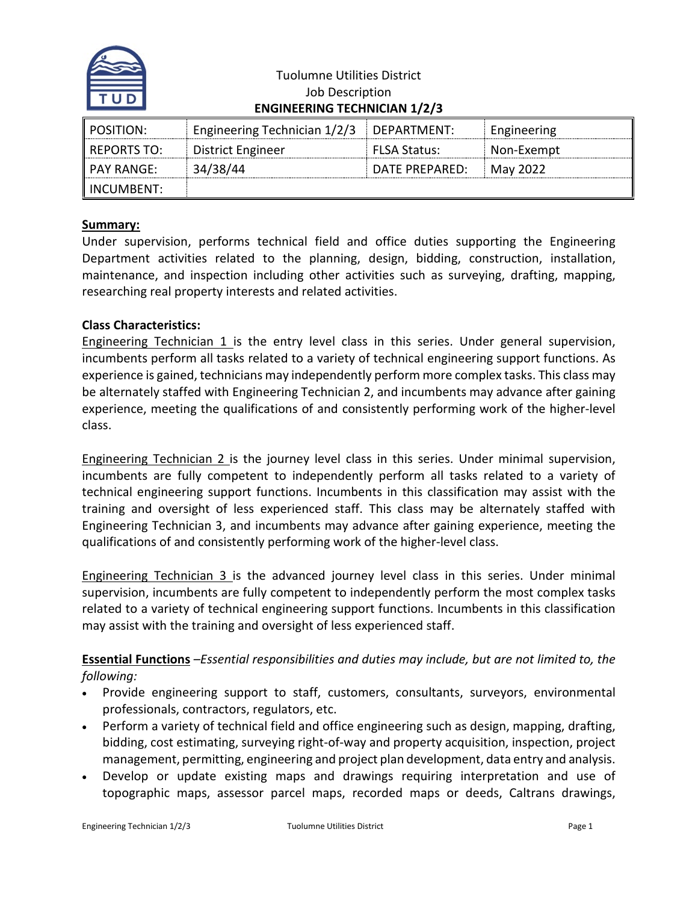

| <b>Tuolumne Utilities District</b>  |
|-------------------------------------|
| Job Description                     |
| <b>ENGINEERING TECHNICIAN 1/2/3</b> |

| POSITION:     | Engineering Technician 1/2/3 | DEPARTMENT:         | Engineering |
|---------------|------------------------------|---------------------|-------------|
| l REPORTS TO: | District Engineer            | <b>FLSA Status:</b> | Non-Exempt  |
| l PAY RANGE:  | 34/38/44                     | DATE PREPARED:      | May 2022    |
| " INCUMBENT:  |                              |                     |             |

## **Summary:**

Under supervision, performs technical field and office duties supporting the Engineering Department activities related to the planning, design, bidding, construction, installation, maintenance, and inspection including other activities such as surveying, drafting, mapping, researching real property interests and related activities.

## **Class Characteristics:**

Engineering Technician 1 is the entry level class in this series. Under general supervision, incumbents perform all tasks related to a variety of technical engineering support functions. As experience is gained, technicians may independently perform more complex tasks. This class may be alternately staffed with Engineering Technician 2, and incumbents may advance after gaining experience, meeting the qualifications of and consistently performing work of the higher-level class.

Engineering Technician 2 is the journey level class in this series. Under minimal supervision, incumbents are fully competent to independently perform all tasks related to a variety of technical engineering support functions. Incumbents in this classification may assist with the training and oversight of less experienced staff. This class may be alternately staffed with Engineering Technician 3, and incumbents may advance after gaining experience, meeting the qualifications of and consistently performing work of the higher-level class.

Engineering Technician 3 is the advanced journey level class in this series. Under minimal supervision, incumbents are fully competent to independently perform the most complex tasks related to a variety of technical engineering support functions. Incumbents in this classification may assist with the training and oversight of less experienced staff.

**Essential Functions** *–Essential responsibilities and duties may include, but are not limited to, the following:*

- Provide engineering support to staff, customers, consultants, surveyors, environmental professionals, contractors, regulators, etc.
- Perform a variety of technical field and office engineering such as design, mapping, drafting, bidding, cost estimating, surveying right-of-way and property acquisition, inspection, project management, permitting, engineering and project plan development, data entry and analysis.
- Develop or update existing maps and drawings requiring interpretation and use of topographic maps, assessor parcel maps, recorded maps or deeds, Caltrans drawings,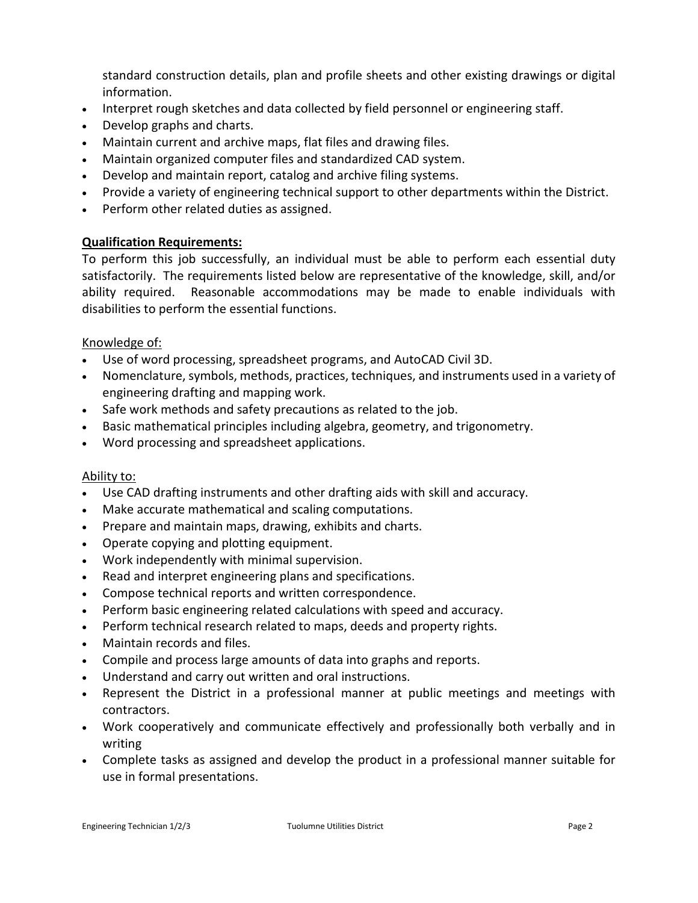standard construction details, plan and profile sheets and other existing drawings or digital information.

- Interpret rough sketches and data collected by field personnel or engineering staff.
- Develop graphs and charts.
- Maintain current and archive maps, flat files and drawing files.
- Maintain organized computer files and standardized CAD system.
- Develop and maintain report, catalog and archive filing systems.
- Provide a variety of engineering technical support to other departments within the District.
- Perform other related duties as assigned.

# **Qualification Requirements:**

To perform this job successfully, an individual must be able to perform each essential duty satisfactorily. The requirements listed below are representative of the knowledge, skill, and/or ability required. Reasonable accommodations may be made to enable individuals with disabilities to perform the essential functions.

# Knowledge of:

- Use of word processing, spreadsheet programs, and AutoCAD Civil 3D.
- Nomenclature, symbols, methods, practices, techniques, and instruments used in a variety of engineering drafting and mapping work.
- Safe work methods and safety precautions as related to the job.
- Basic mathematical principles including algebra, geometry, and trigonometry.
- Word processing and spreadsheet applications.

## Ability to:

- Use CAD drafting instruments and other drafting aids with skill and accuracy.
- Make accurate mathematical and scaling computations.
- Prepare and maintain maps, drawing, exhibits and charts.
- Operate copying and plotting equipment.
- Work independently with minimal supervision.
- Read and interpret engineering plans and specifications.
- Compose technical reports and written correspondence.
- Perform basic engineering related calculations with speed and accuracy.
- Perform technical research related to maps, deeds and property rights.
- Maintain records and files.
- Compile and process large amounts of data into graphs and reports.
- Understand and carry out written and oral instructions.
- Represent the District in a professional manner at public meetings and meetings with contractors.
- Work cooperatively and communicate effectively and professionally both verbally and in writing
- Complete tasks as assigned and develop the product in a professional manner suitable for use in formal presentations.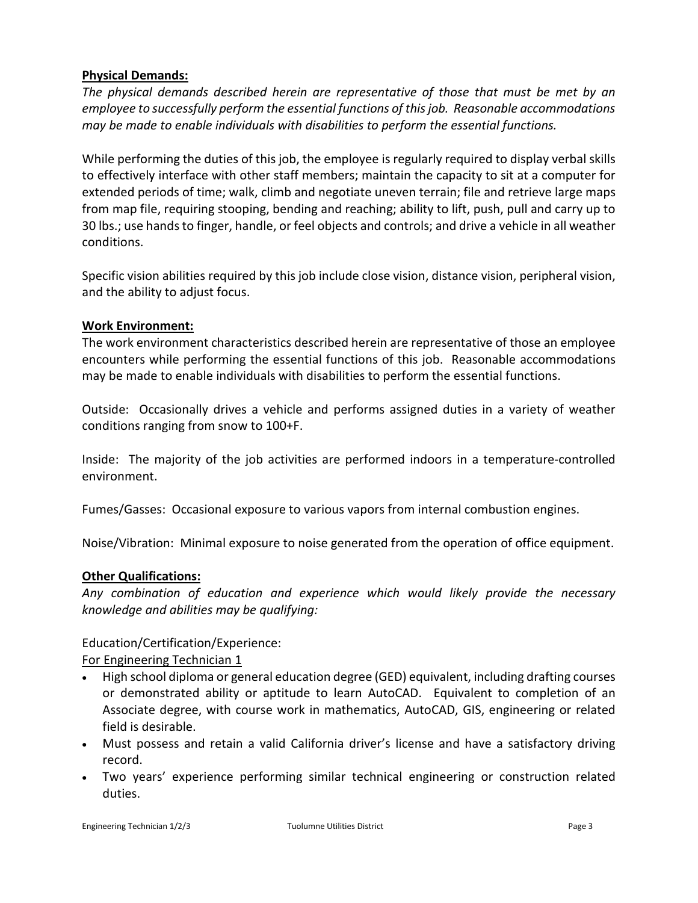# **Physical Demands:**

*The physical demands described herein are representative of those that must be met by an employee to successfully perform the essential functions of this job. Reasonable accommodations may be made to enable individuals with disabilities to perform the essential functions.*

While performing the duties of this job, the employee is regularly required to display verbal skills to effectively interface with other staff members; maintain the capacity to sit at a computer for extended periods of time; walk, climb and negotiate uneven terrain; file and retrieve large maps from map file, requiring stooping, bending and reaching; ability to lift, push, pull and carry up to 30 lbs.; use hands to finger, handle, or feel objects and controls; and drive a vehicle in all weather conditions.

Specific vision abilities required by this job include close vision, distance vision, peripheral vision, and the ability to adjust focus.

## **Work Environment:**

The work environment characteristics described herein are representative of those an employee encounters while performing the essential functions of this job. Reasonable accommodations may be made to enable individuals with disabilities to perform the essential functions.

Outside: Occasionally drives a vehicle and performs assigned duties in a variety of weather conditions ranging from snow to 100+F.

Inside: The majority of the job activities are performed indoors in a temperature-controlled environment.

Fumes/Gasses: Occasional exposure to various vapors from internal combustion engines.

Noise/Vibration: Minimal exposure to noise generated from the operation of office equipment.

# **Other Qualifications:**

*Any combination of education and experience which would likely provide the necessary knowledge and abilities may be qualifying:*

Education/Certification/Experience:

For Engineering Technician 1

- High school diploma or general education degree (GED) equivalent, including drafting courses or demonstrated ability or aptitude to learn AutoCAD. Equivalent to completion of an Associate degree, with course work in mathematics, AutoCAD, GIS, engineering or related field is desirable.
- Must possess and retain a valid California driver's license and have a satisfactory driving record.
- Two years' experience performing similar technical engineering or construction related duties.